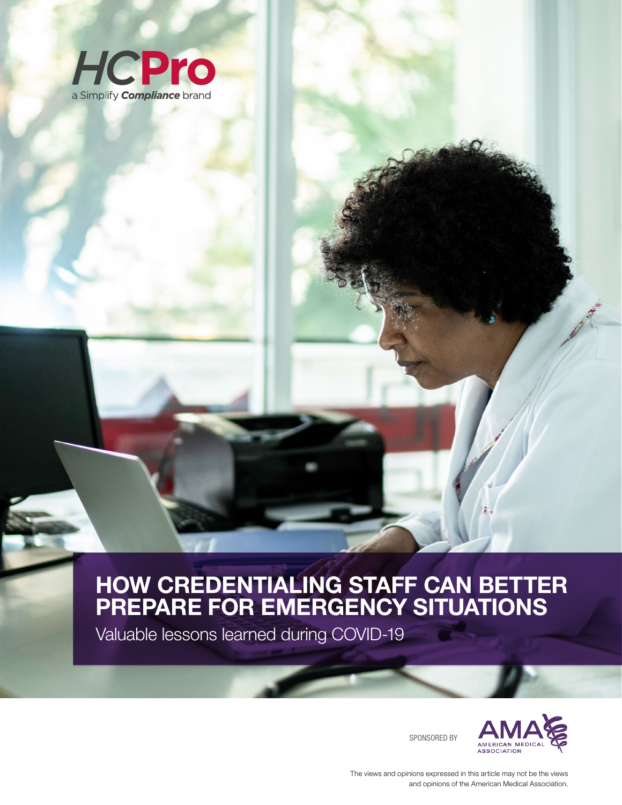

Valuable lessons learned during COVID-19

SPONSORED BY



The views and opinions expressed in this article may not be the views and opinions of the American Medical Association.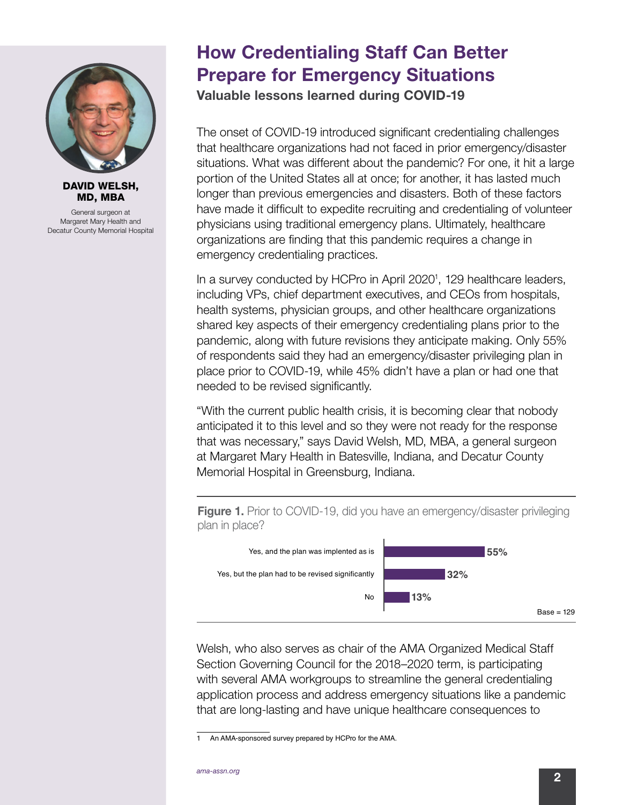

DAVID WELSH, MD, MBA

General surgeon at Margaret Mary Health and Decatur County Memorial Hospital

## How Credentialing Staff Can Better Prepare for Emergency Situations

Valuable lessons learned during COVID-19

The onset of COVID-19 introduced significant credentialing challenges that healthcare organizations had not faced in prior emergency/disaster situations. What was different about the pandemic? For one, it hit a large portion of the United States all at once; for another, it has lasted much longer than previous emergencies and disasters. Both of these factors have made it difficult to expedite recruiting and credentialing of volunteer physicians using traditional emergency plans. Ultimately, healthcare organizations are finding that this pandemic requires a change in emergency credentialing practices.

In a survey conducted by HCPro in April 2020<sup>1</sup>, 129 healthcare leaders, including VPs, chief department executives, and CEOs from hospitals, health systems, physician groups, and other healthcare organizations shared key aspects of their emergency credentialing plans prior to the pandemic, along with future revisions they anticipate making. Only 55% of respondents said they had an emergency/disaster privileging plan in place prior to COVID-19, while 45% didn't have a plan or had one that needed to be revised significantly.

"With the current public health crisis, it is becoming clear that nobody anticipated it to this level and so they were not ready for the response that was necessary," says David Welsh, MD, MBA, a general surgeon at Margaret Mary Health in Batesville, Indiana, and Decatur County Memorial Hospital in Greensburg, Indiana.

**Figure 1.** Prior to COVID-19, did you have an emergency/disaster privileging plan in place?



Welsh, who also serves as chair of the AMA Organized Medical Staff Section Governing Council for the 2018–2020 term, is participating with several AMA workgroups to streamline the general credentialing application process and address emergency situations like a pandemic that are long-lasting and have unique healthcare consequences to

<sup>1</sup> An AMA-sponsored survey prepared by HCPro for the AMA.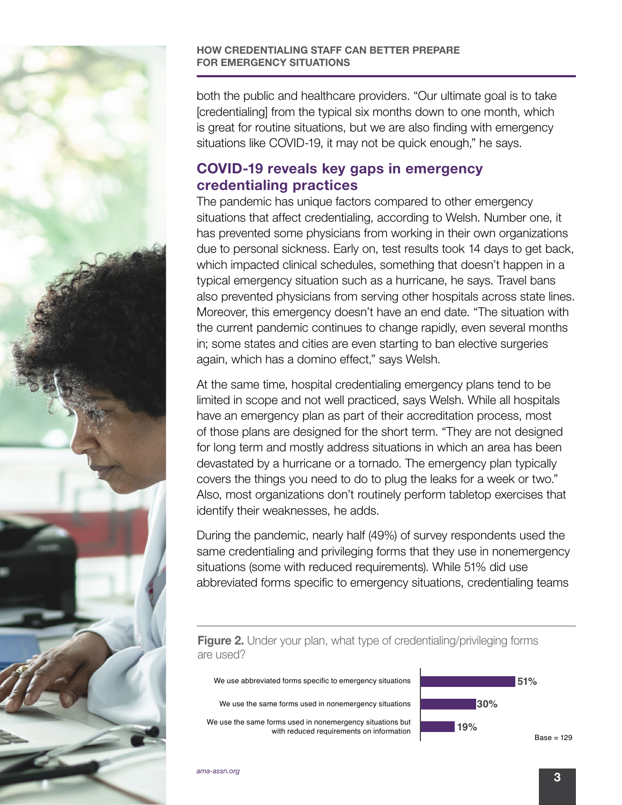

both the public and healthcare providers. "Our ultimate goal is to take [credentialing] from the typical six months down to one month, which is great for routine situations, but we are also finding with emergency situations like COVID-19, it may not be quick enough," he says.

## COVID-19 reveals key gaps in emergency credentialing practices

The pandemic has unique factors compared to other emergency situations that affect credentialing, according to Welsh. Number one, it has prevented some physicians from working in their own organizations due to personal sickness. Early on, test results took 14 days to get back, which impacted clinical schedules, something that doesn't happen in a typical emergency situation such as a hurricane, he says. Travel bans also prevented physicians from serving other hospitals across state lines. Moreover, this emergency doesn't have an end date. "The situation with the current pandemic continues to change rapidly, even several months in; some states and cities are even starting to ban elective surgeries again, which has a domino effect," says Welsh.

At the same time, hospital credentialing emergency plans tend to be limited in scope and not well practiced, says Welsh. While all hospitals have an emergency plan as part of their accreditation process, most of those plans are designed for the short term. "They are not designed for long term and mostly address situations in which an area has been devastated by a hurricane or a tornado. The emergency plan typically covers the things you need to do to plug the leaks for a week or two." Also, most organizations don't routinely perform tabletop exercises that identify their weaknesses, he adds.

During the pandemic, nearly half (49%) of survey respondents used the same credentialing and privileging forms that they use in nonemergency situations (some with reduced requirements). While 51% did use abbreviated forms specific to emergency situations, credentialing teams



We use abbreviated forms specific to emergency situations We use the same forms used in nonemergency situations We use the same forms used in nonemergency situations but with reduced requirements on information



Base = 129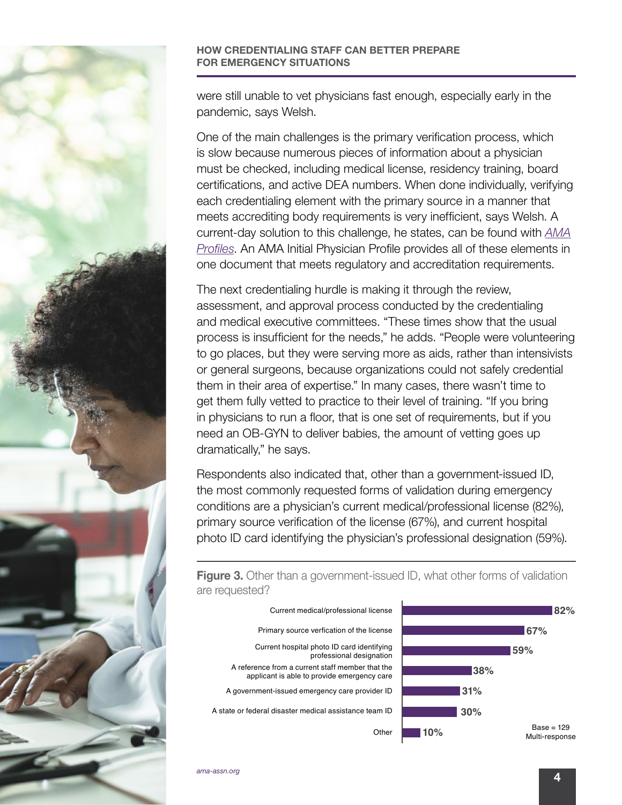

were still unable to vet physicians fast enough, especially early in the pandemic, says Welsh.

One of the main challenges is the primary verification process, which is slow because numerous pieces of information about a physician must be checked, including medical license, residency training, board certifications, and active DEA numbers. When done individually, verifying each credentialing element with the primary source in a manner that meets accrediting body requirements is very inefficient, says Welsh. A current-day solution to this challenge, he states, can be found with *[AMA](http://amacredentialingservices.org) [Profiles](http://amacredentialingservices.org)*. An AMA Initial Physician Profile provides all of these elements in one document that meets regulatory and accreditation requirements.

The next credentialing hurdle is making it through the review, assessment, and approval process conducted by the credentialing and medical executive committees. "These times show that the usual process is insufficient for the needs," he adds. "People were volunteering to go places, but they were serving more as aids, rather than intensivists or general surgeons, because organizations could not safely credential them in their area of expertise." In many cases, there wasn't time to get them fully vetted to practice to their level of training. "If you bring in physicians to run a floor, that is one set of requirements, but if you need an OB-GYN to deliver babies, the amount of vetting goes up dramatically," he says.

Respondents also indicated that, other than a government-issued ID, the most commonly requested forms of validation during emergency conditions are a physician's current medical/professional license (82%), primary source verification of the license (67%), and current hospital photo ID card identifying the physician's professional designation (59%).

**Figure 3.** Other than a government-issued ID, what other forms of validation are requested?

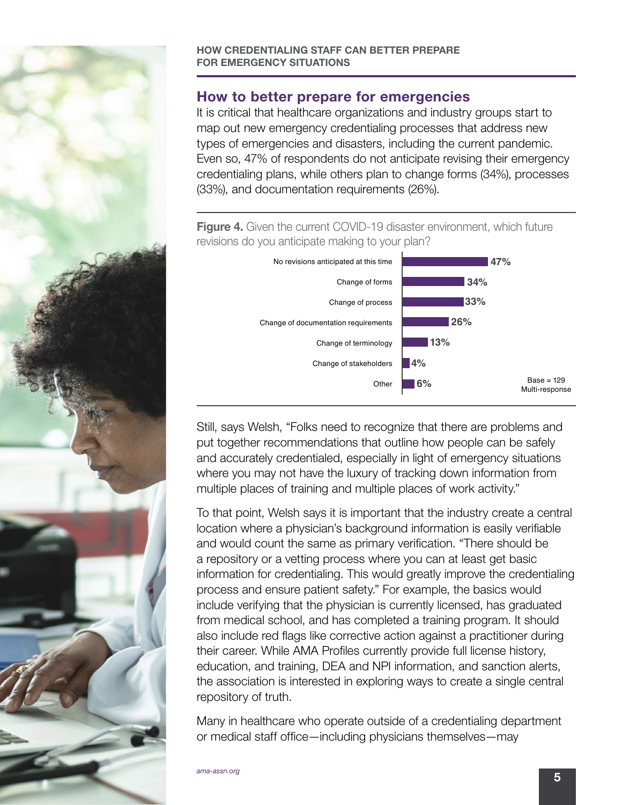

## How to better prepare for emergencies

It is critical that healthcare organizations and industry groups start to map out new emergency credentialing processes that address new types of emergencies and disasters, including the current pandemic. Even so, 47% of respondents do not anticipate revising their emergency credentialing plans, while others plan to change forms (34%), processes (33%), and documentation requirements (26%).

Figure 4. Given the current COVID-19 disaster environment, which future revisions do you anticipate making to your plan?



Still, says Welsh, "Folks need to recognize that there are problems and put together recommendations that outline how people can be safely and accurately credentialed, especially in light of emergency situations where you may not have the luxury of tracking down information from multiple places of training and multiple places of work activity."

To that point, Welsh says it is important that the industry create a central location where a physician's background information is easily verifiable and would count the same as primary verification. "There should be a repository or a vetting process where you can at least get basic information for credentialing. This would greatly improve the credentialing process and ensure patient safety." For example, the basics would include verifying that the physician is currently licensed, has graduated from medical school, and has completed a training program. It should also include red flags like corrective action against a practitioner during their career. While AMA Profiles currently provide full license history, education, and training, DEA and NPI information, and sanction alerts, the association is interested in exploring ways to create a single central repository of truth.

Many in healthcare who operate outside of a credentialing department or medical staff office—including physicians themselves—may

5 *ama-assn.org*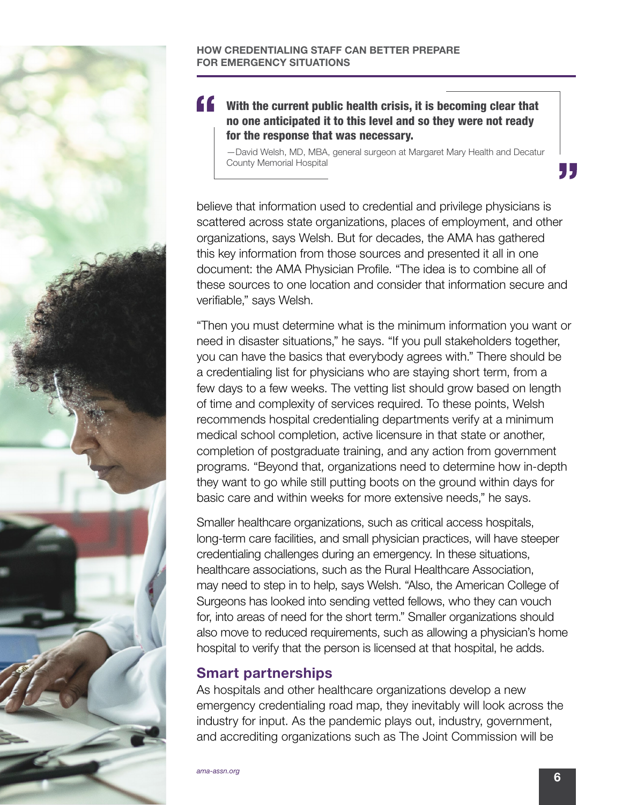

"" With the current public health crisis, it is becoming clear that no one anticipated it to this level and so they were not ready for the response that was necessary.

—David Welsh, MD, MBA, general surgeon at Margaret Mary Health and Decatur County Memorial Hospital

believe that information used to credential and privilege physicians is scattered across state organizations, places of employment, and other organizations, says Welsh. But for decades, the AMA has gathered this key information from those sources and presented it all in one document: the AMA Physician Profile. "The idea is to combine all of these sources to one location and consider that information secure and verifiable," says Welsh.

"Then you must determine what is the minimum information you want or need in disaster situations," he says. "If you pull stakeholders together, you can have the basics that everybody agrees with." There should be a credentialing list for physicians who are staying short term, from a few days to a few weeks. The vetting list should grow based on length of time and complexity of services required. To these points, Welsh recommends hospital credentialing departments verify at a minimum medical school completion, active licensure in that state or another, completion of postgraduate training, and any action from government programs. "Beyond that, organizations need to determine how in-depth they want to go while still putting boots on the ground within days for basic care and within weeks for more extensive needs," he says.

Smaller healthcare organizations, such as critical access hospitals, long-term care facilities, and small physician practices, will have steeper credentialing challenges during an emergency. In these situations, healthcare associations, such as the Rural Healthcare Association, may need to step in to help, says Welsh. "Also, the American College of Surgeons has looked into sending vetted fellows, who they can vouch for, into areas of need for the short term." Smaller organizations should also move to reduced requirements, such as allowing a physician's home hospital to verify that the person is licensed at that hospital, he adds.

## Smart partnerships

As hospitals and other healthcare organizations develop a new emergency credentialing road map, they inevitably will look across the industry for input. As the pandemic plays out, industry, government, and accrediting organizations such as The Joint Commission will be

, ,